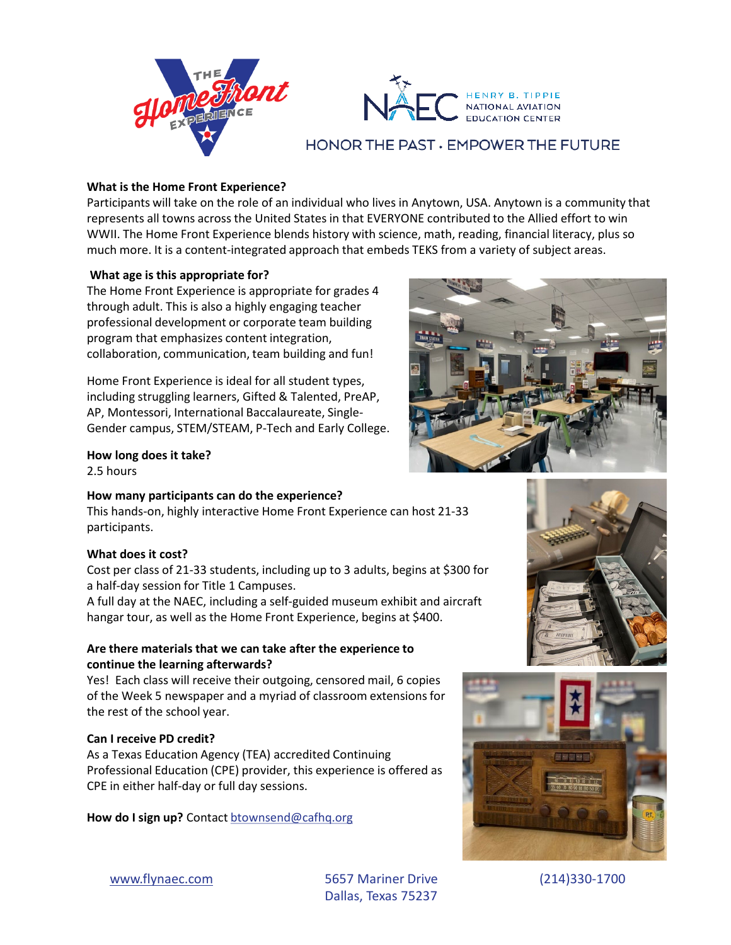



## HONOR THE PAST . EMPOWER THE FUTURE

## **What is the Home Front Experience?**

Participants will take on the role of an individual who lives in Anytown, USA. Anytown is a community that represents all towns across the United States in that EVERYONE contributed to the Allied effort to win WWII. The Home Front Experience blends history with science, math, reading, financial literacy, plus so much more. It is a content-integrated approach that embeds TEKS from a variety of subject areas.

#### **What age is this appropriate for?**

The Home Front Experience is appropriate for grades 4 through adult. This is also a highly engaging teacher professional development or corporate team building program that emphasizes content integration, collaboration, communication, team building and fun!

Home Front Experience is ideal for all student types, including struggling learners, Gifted & Talented, PreAP, AP, Montessori, International Baccalaureate, Single-Gender campus, STEM/STEAM, P-Tech and Early College.

# **How long does it take?**

2.5 hours

#### **How many participants can do the experience?**

This hands-on, highly interactive Home Front Experience can host 21-33 participants.

#### **What does it cost?**

Cost per class of 21-33 students, including up to 3 adults, begins at \$300 for a half-day session for Title 1 Campuses.

A full day at the NAEC, including a self-guided museum exhibit and aircraft hangar tour, as well as the Home Front Experience, begins at \$400.

## **Are there materials that we can take after the experience to continue the learning afterwards?**

Yes! Each class will receive their outgoing, censored mail, 6 copies of the Week 5 newspaper and a myriad of classroom extensions for the rest of the school year.

## **Can I receive PD credit?**

As a Texas Education Agency (TEA) accredited Continuing Professional Education (CPE) provider, this experience is offered as CPE in either half-day or full day sessions.

How do I sign up? Contact **[btownsend@cafhq.org](mailto:btownsend@cafhq.org)** 







[www.flynaec.com](http://www.flynaec.com/) 5657 Mariner Drive (214)330-1700 Dallas, Texas 75237